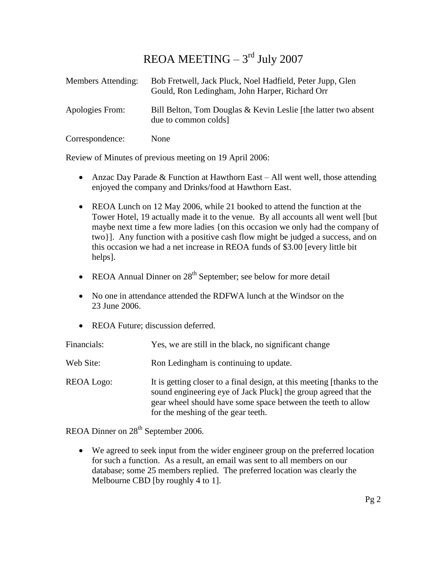## $REOA MEETING - 3<sup>rd</sup> July 2007$

| Members Attending: | Bob Fretwell, Jack Pluck, Noel Hadfield, Peter Jupp, Glen<br>Gould, Ron Ledingham, John Harper, Richard Orr |
|--------------------|-------------------------------------------------------------------------------------------------------------|
| Apologies From:    | Bill Belton, Tom Douglas & Kevin Leslie [the latter two absent<br>due to common colds                       |
| Correspondence:    | None                                                                                                        |

Review of Minutes of previous meeting on 19 April 2006:

- Anzac Day Parade & Function at Hawthorn East All went well, those attending enjoyed the company and Drinks/food at Hawthorn East.
- REOA Lunch on 12 May 2006, while 21 booked to attend the function at the Tower Hotel, 19 actually made it to the venue. By all accounts all went well [but maybe next time a few more ladies {on this occasion we only had the company of two}]. Any function with a positive cash flow might be judged a success, and on this occasion we had a net increase in REOA funds of \$3.00 [every little bit helps].
- REOA Annual Dinner on  $28<sup>th</sup>$  September; see below for more detail
- No one in attendance attended the RDFWA lunch at the Windsor on the 23 June 2006.
- REOA Future; discussion deferred.

| Financials: | Yes, we are still in the black, no significant change                                                                                                                                                                                          |
|-------------|------------------------------------------------------------------------------------------------------------------------------------------------------------------------------------------------------------------------------------------------|
| Web Site:   | Ron Ledingham is continuing to update.                                                                                                                                                                                                         |
| REOA Logo:  | It is getting closer to a final design, at this meeting [thanks to the<br>sound engineering eye of Jack Pluck] the group agreed that the<br>gear wheel should have some space between the teeth to allow<br>for the meshing of the gear teeth. |

REOA Dinner on 28<sup>th</sup> September 2006.

 We agreed to seek input from the wider engineer group on the preferred location for such a function. As a result, an email was sent to all members on our database; some 25 members replied. The preferred location was clearly the Melbourne CBD [by roughly 4 to 1].